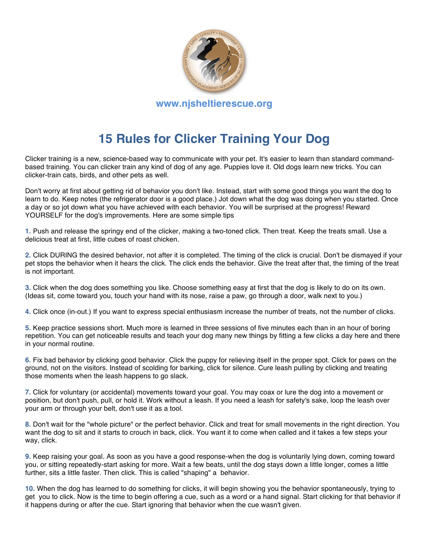

## **15 Rules for Clicker Training Your Dog**

Clicker training is a new, science-based way to communicate with your pet. It's easier to learn than standard commandbased training. You can clicker train any kind of dog of any age. Puppies love it. Old dogs learn new tricks. You can clicker-train cats, birds, and other pets as well.

Don't worry at first about getting rid of behavior you don't like. Instead, start with some good things you want the dog to learn to do. Keep notes (the refrigerator door is a good place.) Jot down what the dog was doing when you started. Once a day or so jot down what you have achieved with each behavior. You will be surprised at the progress! Reward YOURSELF for the dog's improvements. Here are some simple tips

**1.** Push and release the springy end of the clicker, making a two-toned click. Then treat. Keep the treats small. Use a delicious treat at first, little cubes of roast chicken.

**2.** Click DURING the desired behavior, not after it is completed. The timing of the click is crucial. Don't be dismayed if your pet stops the behavior when it hears the click. The click ends the behavior. Give the treat after that, the timing of the treat is not important.

**3.** Click when the dog does something you like. Choose something easy at first that the dog is likely to do on its own. (Ideas sit, come toward you, touch your hand with its nose, raise a paw, go through a door, walk next to you.)

**4.** Click once (in-out.) If you want to express special enthusiasm increase the number of treats, not the number of clicks.

**5.** Keep practice sessions short. Much more is learned in three sessions of five minutes each than in an hour of boring repetition. You can get noticeable results and teach your dog many new things by fitting a few clicks a day here and there in your normal routine.

**6.** Fix bad behavior by clicking good behavior. Click the puppy for relieving itself in the proper spot. Click for paws on the ground, not on the visitors. Instead of scolding for barking, click for silence. Cure leash pulling by clicking and treating those moments when the leash happens to go slack.

**7.** Click for voluntary (or accidental) movements toward your goal. You may coax or lure the dog into a movement or position, but don't push, pull, or hold it. Work without a leash. If you need a leash for safety's sake, loop the leash over your arm or through your belt, don't use it as a tool.

**8.** Don't wait for the "whole picture" or the perfect behavior. Click and treat for small movements in the right direction. You want the dog to sit and it starts to crouch in back, click. You want it to come when called and it takes a few steps your way, click.

**9.** Keep raising your goal. As soon as you have a good response-when the dog is voluntarily lying down, coming toward you, or sitting repeatedly-start asking for more. Wait a few beats, until the dog stays down a little longer, comes a little further, sits a little faster. Then click. This is called "shaping" a behavior.

**10.** When the dog has learned to do something for clicks, it will begin showing you the behavior spontaneously, trying to get you to click. Now is the time to begin offering a cue, such as a word or a hand signal. Start clicking for that behavior if it happens during or after the cue. Start ignoring that behavior when the cue wasn't given.